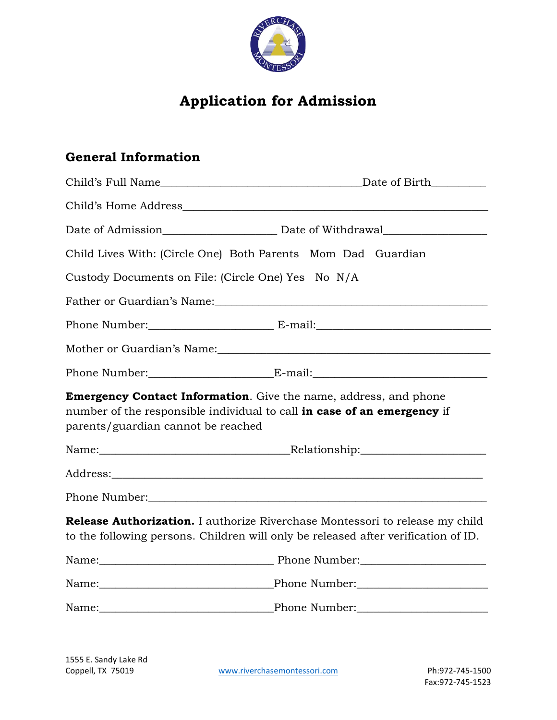

# **Application for Admission**

### **General Information**

| Child Lives With: (Circle One) Both Parents Mom Dad Guardian                                                                                                                                                                   |                                                                                                                                                                                                                                |
|--------------------------------------------------------------------------------------------------------------------------------------------------------------------------------------------------------------------------------|--------------------------------------------------------------------------------------------------------------------------------------------------------------------------------------------------------------------------------|
| Custody Documents on File: (Circle One) Yes No N/A                                                                                                                                                                             |                                                                                                                                                                                                                                |
| Father or Guardian's Name: with a state of the control of the control of the control of the control of the control of the control of the control of the control of the control of the control of the control of the control of |                                                                                                                                                                                                                                |
|                                                                                                                                                                                                                                | Phone Number: E-mail: E-mail:                                                                                                                                                                                                  |
|                                                                                                                                                                                                                                |                                                                                                                                                                                                                                |
|                                                                                                                                                                                                                                | Phone Number: E-mail: E-mail:                                                                                                                                                                                                  |
| <b>Emergency Contact Information.</b> Give the name, address, and phone<br>number of the responsible individual to call in case of an emergency if<br>parents/guardian cannot be reached                                       |                                                                                                                                                                                                                                |
|                                                                                                                                                                                                                                | Name: Name: Name: Nelationship: Nelationship:                                                                                                                                                                                  |
|                                                                                                                                                                                                                                |                                                                                                                                                                                                                                |
| Phone Number: University of the Mumber of the Mumber of the Mumber of the Mumber of the Mumber of the Mumber of the Mumber of the Mumber of the Mumber of the Mumber of the Mumber of the Mumber of the Mumber of the Mumber o |                                                                                                                                                                                                                                |
|                                                                                                                                                                                                                                | <b>Release Authorization.</b> I authorize Riverchase Montessori to release my child<br>to the following persons. Children will only be released after verification of ID.                                                      |
|                                                                                                                                                                                                                                | Name: 2008 Phone Number: 2008 Phone Number: 2008 Phone Number: 2008 Phone Number: 2008 Phone Number: 2008 Phone Number: 2008 Phone Number: 2008 Phone Number: 2008 Phone Number: 2008 Phone Number: 2008 Phone Number: 2008 Ph |
|                                                                                                                                                                                                                                |                                                                                                                                                                                                                                |
|                                                                                                                                                                                                                                |                                                                                                                                                                                                                                |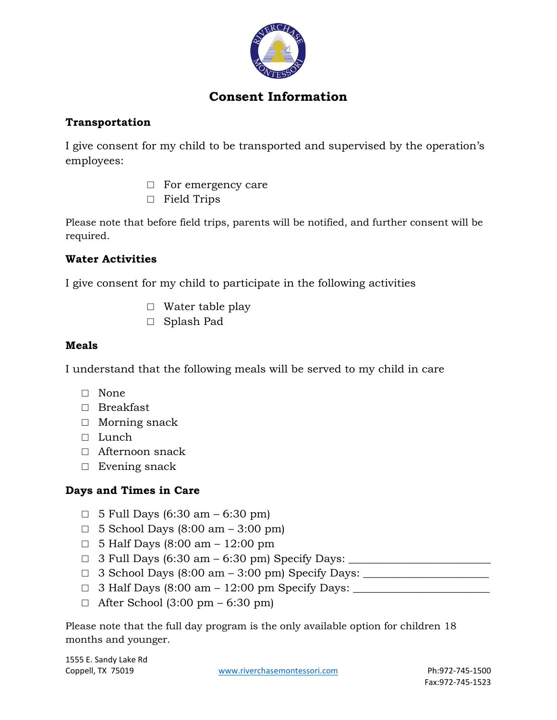

# **Consent Information**

### **Transportation**

I give consent for my child to be transported and supervised by the operation's employees:

- □ For emergency care
- □ Field Trips

Please note that before field trips, parents will be notified, and further consent will be required.

### **Water Activities**

I give consent for my child to participate in the following activities

- $\Box$  Water table play
- □ Splash Pad

### **Meals**

I understand that the following meals will be served to my child in care

- □ None
- □ Breakfast
- □ Morning snack
- □ Lunch
- □ Afternoon snack
- □ Evening snack

### **Days and Times in Care**

- $\Box$  5 Full Days (6:30 am 6:30 pm)
- $\Box$  5 School Days (8:00 am 3:00 pm)
- $\Box$  5 Half Days (8:00 am 12:00 pm
- $\Box$  3 Full Days (6:30 am 6:30 pm) Specify Days:
- □ 3 School Days (8:00 am 3:00 pm) Specify Days: \_\_\_\_\_\_\_\_\_\_\_\_\_\_\_\_\_\_\_\_\_\_\_
- □ 3 Half Days (8:00 am 12:00 pm Specify Days: \_\_\_\_\_\_\_\_\_\_\_\_\_\_\_\_\_\_\_\_\_\_\_\_\_
- $\Box$  After School (3:00 pm 6:30 pm)

Please note that the full day program is the only available option for children 18 months and younger.

1555 E. Sandy Lake Rd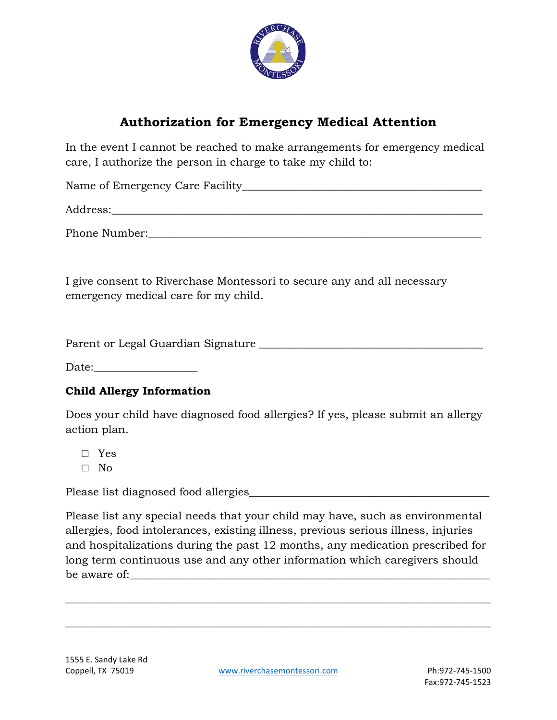

### **Authorization for Emergency Medical Attention**

In the event I cannot be reached to make arrangements for emergency medical care, I authorize the person in charge to take my child to:

Name of Emergency Care Facility

Address:\_\_\_\_\_\_\_\_\_\_\_\_\_\_\_\_\_\_\_\_\_\_\_\_\_\_\_\_\_\_\_\_\_\_\_\_\_\_\_\_\_\_\_\_\_\_\_\_\_\_\_\_\_\_\_\_\_\_\_\_\_\_\_\_\_\_\_\_

Phone Number:\_\_\_\_\_\_\_\_\_\_\_\_\_\_\_\_\_\_\_\_\_\_\_\_\_\_\_\_\_\_\_\_\_\_\_\_\_\_\_\_\_\_\_\_\_\_\_\_\_\_\_\_\_\_\_\_\_\_\_\_\_

I give consent to Riverchase Montessori to secure any and all necessary emergency medical care for my child.

Parent or Legal Guardian Signature \_\_\_\_\_\_\_\_\_\_\_\_\_\_\_\_\_\_\_\_\_\_\_\_\_\_\_\_\_\_\_\_\_\_\_\_\_\_\_\_\_

Date:

#### **Child Allergy Information**

Does your child have diagnosed food allergies? If yes, please submit an allergy action plan.

□ Yes

 $\Box$  No

Please list diagnosed food allergies

Please list any special needs that your child may have, such as environmental allergies, food intolerances, existing illness, previous serious illness, injuries and hospitalizations during the past 12 months, any medication prescribed for long term continuous use and any other information which caregivers should be aware of:

\_\_\_\_\_\_\_\_\_\_\_\_\_\_\_\_\_\_\_\_\_\_\_\_\_\_\_\_\_\_\_\_\_\_\_\_\_\_\_\_\_\_\_\_\_\_\_\_\_\_\_\_\_\_\_\_\_\_\_\_\_\_\_\_\_\_\_\_\_\_\_\_\_\_\_\_\_\_

\_\_\_\_\_\_\_\_\_\_\_\_\_\_\_\_\_\_\_\_\_\_\_\_\_\_\_\_\_\_\_\_\_\_\_\_\_\_\_\_\_\_\_\_\_\_\_\_\_\_\_\_\_\_\_\_\_\_\_\_\_\_\_\_\_\_\_\_\_\_\_\_\_\_\_\_\_\_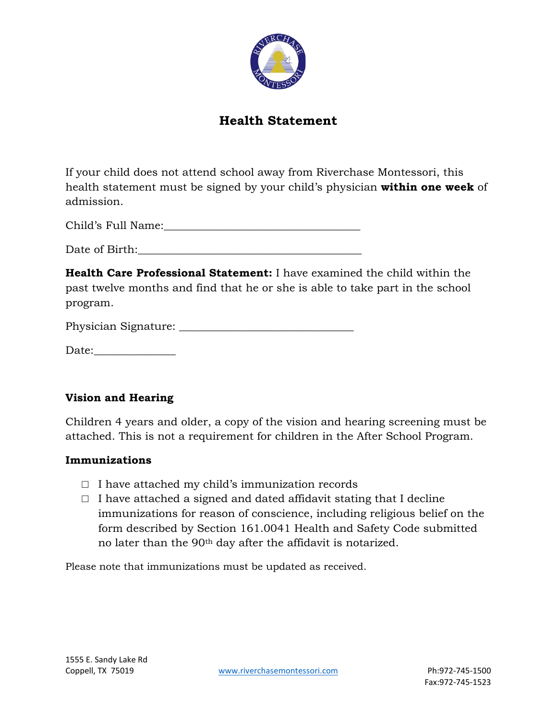

### **Health Statement**

If your child does not attend school away from Riverchase Montessori, this health statement must be signed by your child's physician **within one week** of admission.

Child's Full Name:\_\_\_\_\_\_\_\_\_\_\_\_\_\_\_\_\_\_\_\_\_\_\_\_\_\_\_\_\_\_\_\_\_\_\_\_

Date of Birth:

**Health Care Professional Statement:** I have examined the child within the past twelve months and find that he or she is able to take part in the school program.

| Physician Signature: |  |
|----------------------|--|
|                      |  |

Date:

#### **Vision and Hearing**

Children 4 years and older, a copy of the vision and hearing screening must be attached. This is not a requirement for children in the After School Program.

#### **Immunizations**

- $\Box$  I have attached my child's immunization records
- $\Box$  I have attached a signed and dated affidavit stating that I decline immunizations for reason of conscience, including religious belief on the form described by Section 161.0041 Health and Safety Code submitted no later than the 90<sup>th</sup> day after the affidavit is notarized.

Please note that immunizations must be updated as received.